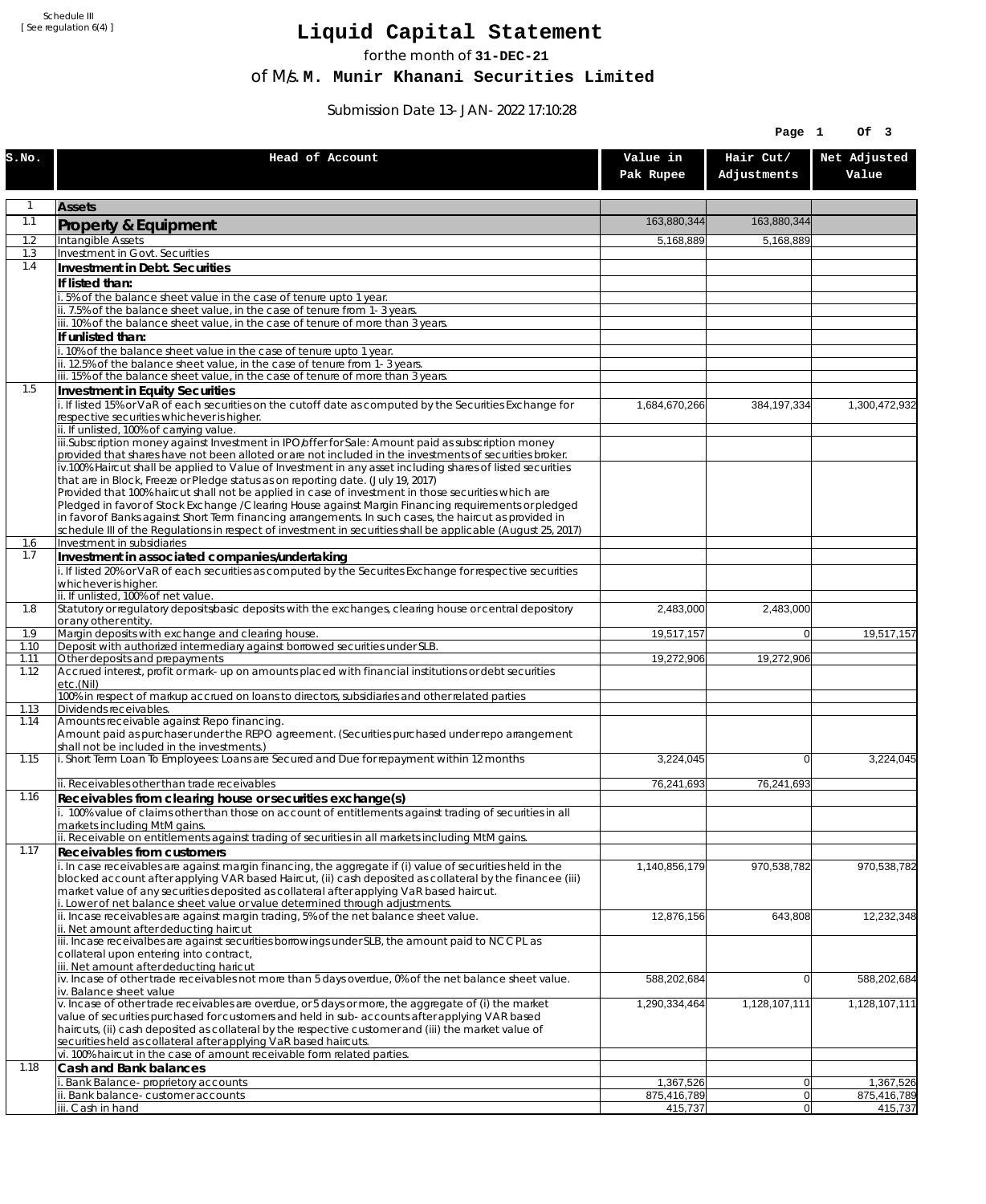Schedule III [ See regulation 6(4) ]

## **Liquid Capital Statement**

for the month of **31-DEC-21**

of M/s. **M. Munir Khanani Securities Limited**

Submission Date 13-JAN-2022 17:10:28

|              |                                                                                                                                                                                                               |                          | Page 1                   | Of 3                     |
|--------------|---------------------------------------------------------------------------------------------------------------------------------------------------------------------------------------------------------------|--------------------------|--------------------------|--------------------------|
| s.no.        | Head of Account                                                                                                                                                                                               | Value in<br>Pak Rupee    | Hair Cut/<br>Adjustments | Net Adjusted<br>Value    |
| $\mathbf{1}$ | <b>Assets</b>                                                                                                                                                                                                 |                          |                          |                          |
| 1.1          | <b>Property &amp; Equipment</b>                                                                                                                                                                               | 163,880,344              | 163,880,344              |                          |
| 1.2          | Intangible Assets                                                                                                                                                                                             | 5,168,889                | 5,168,889                |                          |
| 1.3<br>1.4   | Investment in Govt. Securities                                                                                                                                                                                |                          |                          |                          |
|              | Investment in Debt. Securities                                                                                                                                                                                |                          |                          |                          |
|              | If listed than:<br>i. 5% of the balance sheet value in the case of tenure upto 1 year.                                                                                                                        |                          |                          |                          |
|              | ii. 7.5% of the balance sheet value, in the case of tenure from 1-3 years.                                                                                                                                    |                          |                          |                          |
|              | iii. 10% of the balance sheet value, in the case of tenure of more than 3 years.                                                                                                                              |                          |                          |                          |
|              | If unlisted than:<br>i. 10% of the balance sheet value in the case of tenure upto 1 year.                                                                                                                     |                          |                          |                          |
|              | ii. 12.5% of the balance sheet value, in the case of tenure from 1-3 years.                                                                                                                                   |                          |                          |                          |
|              | iii. 15% of the balance sheet value, in the case of tenure of more than 3 years.                                                                                                                              |                          |                          |                          |
| 1.5          | Investment in Equity Securities<br>i. If listed 15% or VaR of each securities on the cutoff date as computed by the Securities Exchange for                                                                   |                          |                          |                          |
|              | respective securities whichever is higher.                                                                                                                                                                    | 1,684,670,266            | 384, 197, 334            | 1,300,472,932            |
|              | ii. If unlisted, 100% of carrying value.                                                                                                                                                                      |                          |                          |                          |
|              | iii.Subscription money against Investment in IPO/offer for Sale: Amount paid as subscription money<br>provided that shares have not been alloted or are not included in the investments of securities broker. |                          |                          |                          |
|              | $\overline{v}$ .100% Haircut shall be applied to Value of Investment in any asset including shares of listed securities                                                                                       |                          |                          |                          |
|              | that are in Block, Freeze or Pledge status as on reporting date. (July 19, 2017)                                                                                                                              |                          |                          |                          |
|              | Provided that 100% haircut shall not be applied in case of investment in those securities which are<br>Pledged in favor of Stock Exchange / Clearing House against Margin Financing requirements or pledged   |                          |                          |                          |
|              | in favor of Banks against Short Term financing arrangements. In such cases, the haircut as provided in                                                                                                        |                          |                          |                          |
| 1.6          | schedule III of the Regulations in respect of investment in securities shall be applicable (August 25, 2017)<br>Investment in subsidiaries                                                                    |                          |                          |                          |
| 1.7          | Investment in associated companies/undertaking                                                                                                                                                                |                          |                          |                          |
|              | i. If listed 20% or VaR of each securities as computed by the Securites Exchange for respective securities                                                                                                    |                          |                          |                          |
|              | whichever is higher.                                                                                                                                                                                          |                          |                          |                          |
| 1.8          | ii. If unlisted, 100% of net value.<br>Statutory or regulatory deposits/basic deposits with the exchanges, clearing house or central depository                                                               | 2,483,000                | 2,483,000                |                          |
|              | or any other entity.                                                                                                                                                                                          |                          |                          |                          |
| 1.9<br>1.10  | Margin deposits with exchange and clearing house.<br>Deposit with authorized intermediary against borrowed securities under SLB.                                                                              | 19,517,157               | 0                        | 19,517,157               |
| 1.11         | Other deposits and prepayments                                                                                                                                                                                | 19,272,906               | 19,272,906               |                          |
| 1.12         | Accrued interest, profit or mark-up on amounts placed with financial institutions or debt securities                                                                                                          |                          |                          |                          |
|              | etc.(Nil)<br>100% in respect of markup accrued on loans to directors, subsidiaries and other related parties                                                                                                  |                          |                          |                          |
| 1.13         | Dividends receivables.                                                                                                                                                                                        |                          |                          |                          |
| 1.14         | Amounts receivable against Repo financing.<br>Amount paid as purchaser under the REPO agreement. (Securities purchased under repo arrangement                                                                 |                          |                          |                          |
|              | shall not be included in the investments.)                                                                                                                                                                    |                          |                          |                          |
| 1.15         | i. Short Term Loan To Employees: Loans are Secured and Due for repayment within 12 months                                                                                                                     | 3,224,045                | $\Omega$                 | 3,224,045                |
|              | ii. Receivables other than trade receivables                                                                                                                                                                  | 76,241,693               | 76,241,693               |                          |
| 1.16         | Receivables from clearing house or securities exchange(s)                                                                                                                                                     |                          |                          |                          |
|              | i. 100% value of claims other than those on account of entitlements against trading of securities in all                                                                                                      |                          |                          |                          |
|              | markets including MtM gains.<br>ii. Receivable on entitlements against trading of securities in all markets including MtM gains.                                                                              |                          |                          |                          |
| 1.17         | <b>Receivables from customers</b>                                                                                                                                                                             |                          |                          |                          |
|              | i. In case receivables are against margin financing, the aggregate if (i) value of securities held in the                                                                                                     | 1,140,856,179            | 970,538,782              | 970,538,782              |
|              | blocked account after applying VAR based Haircut, (ii) cash deposited as collateral by the financee (iii)<br>market value of any securities deposited as collateral after applying VaR based haircut.         |                          |                          |                          |
|              | i. Lower of net balance sheet value or value determined through adjustments.                                                                                                                                  |                          |                          |                          |
|              | ii. Incase receivables are against margin trading, 5% of the net balance sheet value.                                                                                                                         | 12,876,156               | 643,808                  | 12,232,348               |
|              | ii. Net amount after deducting haircut<br>iii. Incase receivalbes are against securities borrowings under SLB, the amount paid to NCCPL as                                                                    |                          |                          |                          |
|              | collateral upon entering into contract,                                                                                                                                                                       |                          |                          |                          |
|              | iii. Net amount after deducting haricut<br>$\dot{N}$ . Incase of other trade receivables not more than 5 days overdue, 0% of the net balance sheet value.                                                     | 588,202,684              | $\Omega$                 | 588,202,684              |
|              | iv. Balance sheet value                                                                                                                                                                                       |                          |                          |                          |
|              | v. Incase of other trade receivables are overdue, or 5 days or more, the aggregate of (i) the market                                                                                                          | 1,290,334,464            | 1,128,107,111            | 1,128,107,111            |
|              | value of securities purchased for customers and held in sub-accounts after applying VAR based<br>haircuts, (ii) cash deposited as collateral by the respective customer and (iii) the market value of         |                          |                          |                          |
|              | securities held as collateral after applying VaR based haircuts.                                                                                                                                              |                          |                          |                          |
|              | vi. 100% haircut in the case of amount receivable form related parties.                                                                                                                                       |                          |                          |                          |
| 1.18         | Cash and Bank balances                                                                                                                                                                                        |                          |                          |                          |
|              | Bank Balance-proprietory accounts<br>ii. Bank balance-customer accounts                                                                                                                                       | 1,367,526<br>875,416,789 | 0 <br> 0                 | 1,367,526<br>875,416,789 |
|              | iii. Cash in hand                                                                                                                                                                                             | 415,737                  | 0                        | 415,737                  |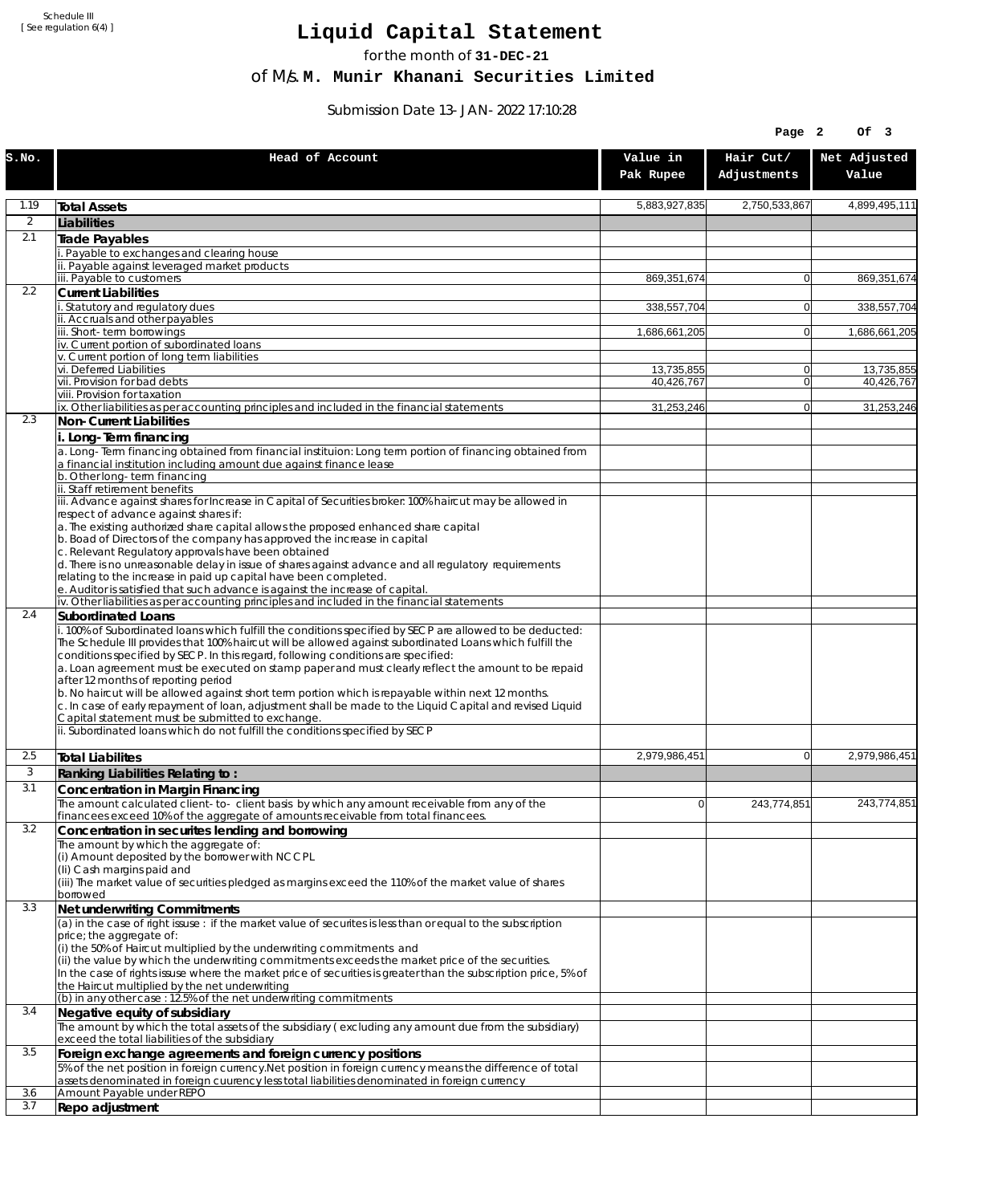Schedule III [ See regulation 6(4) ]

## **Liquid Capital Statement**

for the month of **31-DEC-21**

of M/s. **M. Munir Khanani Securities Limited**

Submission Date 13-JAN-2022 17:10:28

|              |                                                                                                                                                                                                                                                                                                                                                                                                                |                       | Page 2                   | Of 3                  |
|--------------|----------------------------------------------------------------------------------------------------------------------------------------------------------------------------------------------------------------------------------------------------------------------------------------------------------------------------------------------------------------------------------------------------------------|-----------------------|--------------------------|-----------------------|
| S.NO.        | Head of Account                                                                                                                                                                                                                                                                                                                                                                                                | Value in<br>Pak Rupee | Hair Cut/<br>Adjustments | Net Adjusted<br>Value |
| 1.19         | <b>Total Assets</b>                                                                                                                                                                                                                                                                                                                                                                                            | 5,883,927,835         | 2,750,533,867            | 4,899,495,111         |
| 2            | Liabilities                                                                                                                                                                                                                                                                                                                                                                                                    |                       |                          |                       |
| 2.1          | Trade Payables                                                                                                                                                                                                                                                                                                                                                                                                 |                       |                          |                       |
|              | Payable to exchanges and clearing house<br>ii. Payable against leveraged market products                                                                                                                                                                                                                                                                                                                       |                       |                          |                       |
|              | iii. Payable to customers                                                                                                                                                                                                                                                                                                                                                                                      | 869,351,674           | $\overline{0}$           | 869,351,674           |
| 2.2          | <b>Current Liabilities</b>                                                                                                                                                                                                                                                                                                                                                                                     |                       |                          |                       |
|              | . Statutory and regulatory dues<br>ii. Accruals and other payables                                                                                                                                                                                                                                                                                                                                             | 338,557,704           | $\overline{0}$           | 338,557,704           |
|              | iii. Short-term borrowings                                                                                                                                                                                                                                                                                                                                                                                     | 1,686,661,205         | $\overline{0}$           | 1,686,661,205         |
|              | iv. Current portion of subordinated loans                                                                                                                                                                                                                                                                                                                                                                      |                       |                          |                       |
|              | v. Current portion of long term liabilities<br>vi. Deferred Liabilities                                                                                                                                                                                                                                                                                                                                        | 13,735,855            | 0                        | 13,735,855            |
|              | vii. Provision for bad debts                                                                                                                                                                                                                                                                                                                                                                                   | 40,426,767            | $\overline{0}$           | 40,426,767            |
|              | viii. Provision for taxation<br>ix. Other liabilities as per accounting principles and included in the financial statements                                                                                                                                                                                                                                                                                    | 31,253,246            | $\Omega$                 | 31,253,246            |
| 2.3          | Non-Current Liabilities                                                                                                                                                                                                                                                                                                                                                                                        |                       |                          |                       |
|              | i. Long-Term financing                                                                                                                                                                                                                                                                                                                                                                                         |                       |                          |                       |
|              | a. Long-Term financing obtained from financial instituion: Long term portion of financing obtained from<br>a financial institution including amount due against finance lease                                                                                                                                                                                                                                  |                       |                          |                       |
|              | b. Other long-term financing                                                                                                                                                                                                                                                                                                                                                                                   |                       |                          |                       |
|              | ii. Staff retirement benefits<br>iii. Advance against shares for Increase in Capital of Securities broker: 100% haircut may be allowed in                                                                                                                                                                                                                                                                      |                       |                          |                       |
|              | respect of advance against shares if:                                                                                                                                                                                                                                                                                                                                                                          |                       |                          |                       |
|              | a. The existing authorized share capital allows the proposed enhanced share capital<br>b. Boad of Directors of the company has approved the increase in capital                                                                                                                                                                                                                                                |                       |                          |                       |
|              | c. Relevant Regulatory approvals have been obtained                                                                                                                                                                                                                                                                                                                                                            |                       |                          |                       |
|              | d. There is no unreasonable delay in issue of shares against advance and all regulatory requirements                                                                                                                                                                                                                                                                                                           |                       |                          |                       |
|              | relating to the increase in paid up capital have been completed.<br>e. Auditor is satisfied that such advance is against the increase of capital.                                                                                                                                                                                                                                                              |                       |                          |                       |
|              | iv. Other liabilities as per accounting principles and included in the financial statements                                                                                                                                                                                                                                                                                                                    |                       |                          |                       |
| 2.4          | Subordinated Loans                                                                                                                                                                                                                                                                                                                                                                                             |                       |                          |                       |
|              | . 100% of Subordinated loans which fulfill the conditions specified by SECP are allowed to be deducted:<br>The Schedule III provides that 100% haircut will be allowed against subordinated Loans which fulfill the<br>conditions specified by SECP. In this regard, following conditions are specified:<br>a. Loan agreement must be executed on stamp paper and must clearly reflect the amount to be repaid |                       |                          |                       |
|              | after 12 months of reporting period<br>b. No haircut will be allowed against short term portion which is repayable within next 12 months.                                                                                                                                                                                                                                                                      |                       |                          |                       |
|              | c. In case of early repayment of loan, adjustment shall be made to the Liquid Capital and revised Liquid<br>Capital statement must be submitted to exchange.                                                                                                                                                                                                                                                   |                       |                          |                       |
|              | ii. Subordinated loans which do not fulfill the conditions specified by SECP                                                                                                                                                                                                                                                                                                                                   |                       |                          |                       |
| 2.5          | <b>Total Liabilites</b>                                                                                                                                                                                                                                                                                                                                                                                        | 2,979,986,451         | $\overline{0}$           | 2,979,986,451         |
| $\mathbf{3}$ | Ranking Liabilities Relating to:                                                                                                                                                                                                                                                                                                                                                                               |                       |                          |                       |
| 3.1          | Concentration in Margin Financing                                                                                                                                                                                                                                                                                                                                                                              |                       |                          |                       |
|              | The amount calculated client-to- client basis by which any amount receivable from any of the<br>financees exceed 10% of the aggregate of amounts receivable from total financees.                                                                                                                                                                                                                              | $\overline{0}$        | 243,774,851              | 243,774,851           |
| 3.2          | Concentration in securites lending and borrowing                                                                                                                                                                                                                                                                                                                                                               |                       |                          |                       |
|              | The amount by which the aggregate of:                                                                                                                                                                                                                                                                                                                                                                          |                       |                          |                       |
|              | (i) Amount deposited by the borrower with NCCPL<br>(Ii) Cash margins paid and                                                                                                                                                                                                                                                                                                                                  |                       |                          |                       |
|              | (iii) The market value of securities pledged as margins exceed the 110% of the market value of shares                                                                                                                                                                                                                                                                                                          |                       |                          |                       |
| 3.3          | borrowed                                                                                                                                                                                                                                                                                                                                                                                                       |                       |                          |                       |
|              | Net underwriting Commitments<br>(a) in the case of right issuse : if the market value of securites is less than or equal to the subscription                                                                                                                                                                                                                                                                   |                       |                          |                       |
|              | price; the aggregate of:                                                                                                                                                                                                                                                                                                                                                                                       |                       |                          |                       |
|              | (i) the 50% of Haircut multiplied by the underwriting commitments and<br>(ii) the value by which the underwriting commitments exceeds the market price of the securities.                                                                                                                                                                                                                                      |                       |                          |                       |
|              | In the case of rights issuse where the market price of securities is greater than the subscription price, 5% of                                                                                                                                                                                                                                                                                                |                       |                          |                       |
|              | the Haircut multiplied by the net underwriting<br>(b) in any other case : 12.5% of the net underwriting commitments                                                                                                                                                                                                                                                                                            |                       |                          |                       |
| 3.4          | Negative equity of subsidiary                                                                                                                                                                                                                                                                                                                                                                                  |                       |                          |                       |
|              | The amount by which the total assets of the subsidiary (excluding any amount due from the subsidiary)                                                                                                                                                                                                                                                                                                          |                       |                          |                       |
|              | exceed the total liabilities of the subsidiary                                                                                                                                                                                                                                                                                                                                                                 |                       |                          |                       |
| 3.5          | Foreign exchange agreements and foreign currency positions<br>5% of the net position in foreign currency. Net position in foreign currency means the difference of total                                                                                                                                                                                                                                       |                       |                          |                       |
|              | assets denominated in foreign cuurency less total liabilities denominated in foreign currency                                                                                                                                                                                                                                                                                                                  |                       |                          |                       |
| 3.6          | Amount Payable under REPO                                                                                                                                                                                                                                                                                                                                                                                      |                       |                          |                       |
| 3.7          | Repo adjustment                                                                                                                                                                                                                                                                                                                                                                                                |                       |                          |                       |